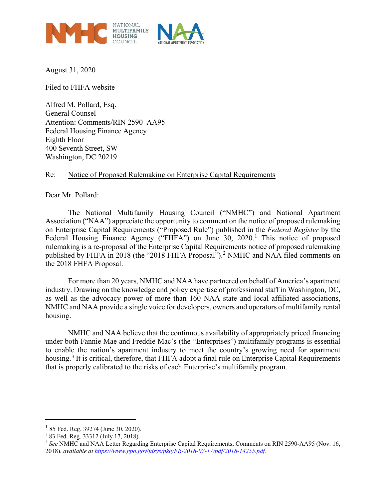

August 31, 2020

Filed to FHFA website

Alfred M. Pollard, Esq. General Counsel Attention: Comments/RIN 2590–AA95 Federal Housing Finance Agency Eighth Floor 400 Seventh Street, SW Washington, DC 20219

#### Re: Notice of Proposed Rulemaking on Enterprise Capital Requirements

Dear Mr. Pollard:

The National Multifamily Housing Council ("NMHC") and National Apartment Association ("NAA") appreciate the opportunity to comment on the notice of proposed rulemaking on Enterprise Capital Requirements ("Proposed Rule") published in the *Federal Register* by the Federal Housing Finance Agency ("FHFA") on June 30, 2020.<sup>[1](#page-0-0)</sup> This notice of proposed rulemaking is a re-proposal of the Enterprise Capital Requirements notice of proposed rulemaking published by FHFA in [2](#page-0-1)018 (the "2018 FHFA Proposal").<sup>2</sup> NMHC and NAA filed comments on the 2018 FHFA Proposal.

For more than 20 years, NMHC and NAA have partnered on behalf of America's apartment industry. Drawing on the knowledge and policy expertise of professional staff in Washington, DC, as well as the advocacy power of more than 160 NAA state and local affiliated associations, NMHC and NAA provide a single voice for developers, owners and operators of multifamily rental housing.

NMHC and NAA believe that the continuous availability of appropriately priced financing under both Fannie Mae and Freddie Mac's (the "Enterprises") multifamily programs is essential to enable the nation's apartment industry to meet the country's growing need for apartment housing.<sup>[3](#page-0-2)</sup> It is critical, therefore, that FHFA adopt a final rule on Enterprise Capital Requirements that is properly calibrated to the risks of each Enterprise's multifamily program.

 $\overline{a}$ 

<span id="page-0-0"></span><sup>&</sup>lt;sup>1</sup> 85 Fed. Reg. 39274 (June 30, 2020).

<span id="page-0-1"></span><sup>2</sup> 83 Fed. Reg. 33312 (July 17, 2018).

<span id="page-0-2"></span><sup>&</sup>lt;sup>3</sup> See NMHC and NAA Letter Regarding Enterprise Capital Requirements; Comments on RIN 2590-AA95 (Nov. 16, 2018), *available at [https://www.gpo.gov/fdsys/pkg/FR-2018-07-17/pdf/2018-14255.pdf.](https://www.gpo.gov/fdsys/pkg/FR-2018-07-17/pdf/2018-14255.pdf)*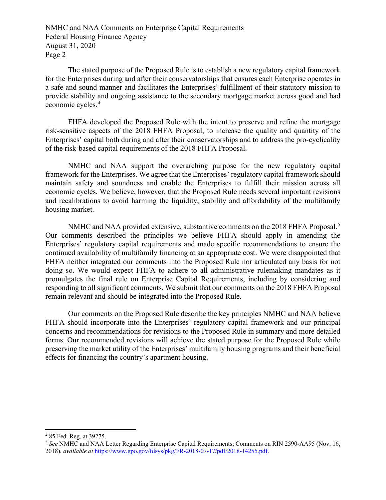The stated purpose of the Proposed Rule is to establish a new regulatory capital framework for the Enterprises during and after their conservatorships that ensures each Enterprise operates in a safe and sound manner and facilitates the Enterprises' fulfillment of their statutory mission to provide stability and ongoing assistance to the secondary mortgage market across good and bad economic cycles.[4](#page-1-0)

FHFA developed the Proposed Rule with the intent to preserve and refine the mortgage risk-sensitive aspects of the 2018 FHFA Proposal, to increase the quality and quantity of the Enterprises' capital both during and after their conservatorships and to address the pro-cyclicality of the risk-based capital requirements of the 2018 FHFA Proposal.

NMHC and NAA support the overarching purpose for the new regulatory capital framework for the Enterprises. We agree that the Enterprises' regulatory capital framework should maintain safety and soundness and enable the Enterprises to fulfill their mission across all economic cycles. We believe, however, that the Proposed Rule needs several important revisions and recalibrations to avoid harming the liquidity, stability and affordability of the multifamily housing market.

NMHC and NAA provided extensive, substantive comments on the 2018 FHFA Proposal.<sup>[5](#page-1-1)</sup> Our comments described the principles we believe FHFA should apply in amending the Enterprises' regulatory capital requirements and made specific recommendations to ensure the continued availability of multifamily financing at an appropriate cost. We were disappointed that FHFA neither integrated our comments into the Proposed Rule nor articulated any basis for not doing so. We would expect FHFA to adhere to all administrative rulemaking mandates as it promulgates the final rule on Enterprise Capital Requirements, including by considering and responding to all significant comments. We submit that our comments on the 2018 FHFA Proposal remain relevant and should be integrated into the Proposed Rule.

Our comments on the Proposed Rule describe the key principles NMHC and NAA believe FHFA should incorporate into the Enterprises' regulatory capital framework and our principal concerns and recommendations for revisions to the Proposed Rule in summary and more detailed forms. Our recommended revisions will achieve the stated purpose for the Proposed Rule while preserving the market utility of the Enterprises' multifamily housing programs and their beneficial effects for financing the country's apartment housing.

<span id="page-1-0"></span> <sup>4</sup> 85 Fed. Reg. at 39275.

<span id="page-1-1"></span><sup>5</sup> *See* NMHC and NAA Letter Regarding Enterprise Capital Requirements; Comments on RIN 2590-AA95 (Nov. 16, 2018), *available at* [https://www.gpo.gov/fdsys/pkg/FR-2018-07-17/pdf/2018-14255.pdf.](https://www.gpo.gov/fdsys/pkg/FR-2018-07-17/pdf/2018-14255.pdf)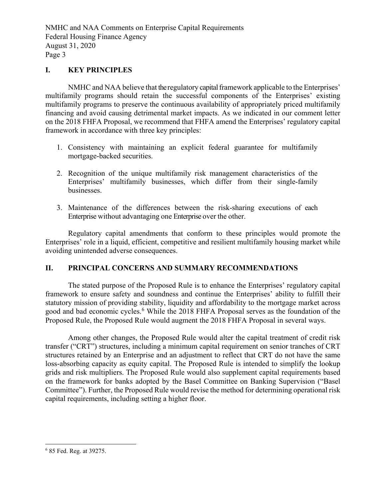### **I. KEY PRINCIPLES**

NMHC and NAA believe that the regulatory capital framework applicable to the Enterprises' multifamily programs should retain the successful components of the Enterprises' existing multifamily programs to preserve the continuous availability of appropriately priced multifamily financing and avoid causing detrimental market impacts. As we indicated in our comment letter on the 2018 FHFA Proposal, we recommend that FHFA amend the Enterprises' regulatory capital framework in accordance with three key principles:

- 1. Consistency with maintaining an explicit federal guarantee for multifamily mortgage-backed securities.
- 2. Recognition of the unique multifamily risk management characteristics of the Enterprises' multifamily businesses, which differ from their single-family businesses.
- 3. Maintenance of the differences between the risk-sharing executions of each Enterprise without advantaging one Enterprise over the other.

Regulatory capital amendments that conform to these principles would promote the Enterprises' role in a liquid, efficient, competitive and resilient multifamily housing market while avoiding unintended adverse consequences.

# **II. PRINCIPAL CONCERNS AND SUMMARY RECOMMENDATIONS**

The stated purpose of the Proposed Rule is to enhance the Enterprises' regulatory capital framework to ensure safety and soundness and continue the Enterprises' ability to fulfill their statutory mission of providing stability, liquidity and affordability to the mortgage market across good and bad economic cycles.<sup>[6](#page-2-0)</sup> While the 2018 FHFA Proposal serves as the foundation of the Proposed Rule, the Proposed Rule would augment the 2018 FHFA Proposal in several ways.

Among other changes, the Proposed Rule would alter the capital treatment of credit risk transfer ("CRT") structures, including a minimum capital requirement on senior tranches of CRT structures retained by an Enterprise and an adjustment to reflect that CRT do not have the same loss-absorbing capacity as equity capital. The Proposed Rule is intended to simplify the lookup grids and risk multipliers. The Proposed Rule would also supplement capital requirements based on the framework for banks adopted by the Basel Committee on Banking Supervision ("Basel Committee"). Further, the Proposed Rule would revise the method for determining operational risk capital requirements, including setting a higher floor.

<span id="page-2-0"></span> <sup>6</sup> 85 Fed. Reg. at 39275.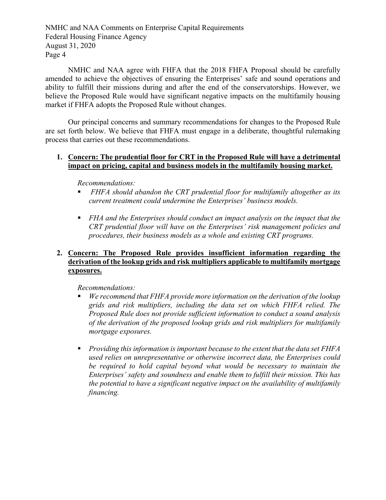NMHC and NAA agree with FHFA that the 2018 FHFA Proposal should be carefully amended to achieve the objectives of ensuring the Enterprises' safe and sound operations and ability to fulfill their missions during and after the end of the conservatorships. However, we believe the Proposed Rule would have significant negative impacts on the multifamily housing market if FHFA adopts the Proposed Rule without changes.

Our principal concerns and summary recommendations for changes to the Proposed Rule are set forth below. We believe that FHFA must engage in a deliberate, thoughtful rulemaking process that carries out these recommendations.

### **1. Concern: The prudential floor for CRT in the Proposed Rule will have a detrimental impact on pricing, capital and business models in the multifamily housing market.**

*Recommendations:*

- *FHFA should abandon the CRT prudential floor for multifamily altogether as its current treatment could undermine the Enterprises' business models.*
- *FHA and the Enterprises should conduct an impact analysis on the impact that the CRT prudential floor will have on the Enterprises' risk management policies and procedures, their business models as a whole and existing CRT programs.*

# **2. Concern: The Proposed Rule provides insufficient information regarding the derivation of the lookup grids and risk multipliers applicable to multifamily mortgage exposures.**

*Recommendations:* 

- *We recommend that FHFA provide more information on the derivation of the lookup grids and risk multipliers, including the data set on which FHFA relied. The Proposed Rule does not provide sufficient information to conduct a sound analysis of the derivation of the proposed lookup grids and risk multipliers for multifamily mortgage exposures.*
- *Providing this information is important because to the extent that the data set FHFA used relies on unrepresentative or otherwise incorrect data, the Enterprises could be required to hold capital beyond what would be necessary to maintain the Enterprises' safety and soundness and enable them to fulfill their mission. This has the potential to have a significant negative impact on the availability of multifamily financing.*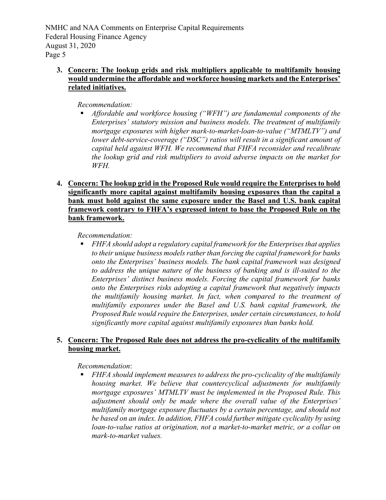# **3. Concern: The lookup grids and risk multipliers applicable to multifamily housing would undermine the affordable and workforce housing markets and the Enterprises' related initiatives.**

*Recommendation:* 

- *Affordable and workforce housing ("WFH") are fundamental components of the Enterprises' statutory mission and business models. The treatment of multifamily mortgage exposures with higher mark-to-market-loan-to-value ("MTMLTV") and lower debt-service-coverage ("DSC") ratios will result in a significant amount of capital held against WFH. We recommend that FHFA reconsider and recalibrate the lookup grid and risk multipliers to avoid adverse impacts on the market for WFH.*
- **4. Concern: The lookup grid in the Proposed Rule would require the Enterprises to hold significantly more capital against multifamily housing exposures than the capital a bank must hold against the same exposure under the Basel and U.S. bank capital framework contrary to FHFA's expressed intent to base the Proposed Rule on the bank framework.**

### *Recommendation:*

 *FHFA should adopt a regulatory capital framework for the Enterprises that applies to their unique business models rather than forcing the capital framework for banks onto the Enterprises' business models. The bank capital framework was designed to address the unique nature of the business of banking and is ill-suited to the Enterprises' distinct business models. Forcing the capital framework for banks onto the Enterprises risks adopting a capital framework that negatively impacts the multifamily housing market. In fact, when compared to the treatment of multifamily exposures under the Basel and U.S. bank capital framework, the Proposed Rule would require the Enterprises, under certain circumstances, to hold significantly more capital against multifamily exposures than banks hold.*

# **5. Concern: The Proposed Rule does not address the pro-cyclicality of the multifamily housing market.**

# *Recommendation*:

 *FHFA should implement measures to address the pro-cyclicality of the multifamily housing market. We believe that countercyclical adjustments for multifamily mortgage exposures' MTMLTV must be implemented in the Proposed Rule. This adjustment should only be made where the overall value of the Enterprises' multifamily mortgage exposure fluctuates by a certain percentage, and should not be based on an index. In addition, FHFA could further mitigate cyclicality by using loan-to-value ratios at origination, not a market-to-market metric, or a collar on mark-to-market values.*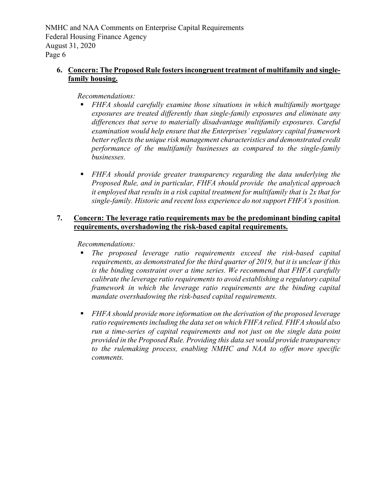# **6. Concern: The Proposed Rule fosters incongruent treatment of multifamily and singlefamily housing.**

### *Recommendations:*

- *FHFA should carefully examine those situations in which multifamily mortgage exposures are treated differently than single-family exposures and eliminate any differences that serve to materially disadvantage multifamily exposures. Careful examination would help ensure that the Enterprises' regulatory capital framework better reflects the unique risk management characteristics and demonstrated credit performance of the multifamily businesses as compared to the single-family businesses.*
- *FHFA should provide greater transparency regarding the data underlying the Proposed Rule, and in particular, FHFA should provide the analytical approach it employed that results in a risk capital treatment for multifamily that is 2x that for single-family. Historic and recent loss experience do not support FHFA's position.*

#### **7. Concern: The leverage ratio requirements may be the predominant binding capital requirements, overshadowing the risk-based capital requirements.**

*Recommendations:* 

- *The proposed leverage ratio requirements exceed the risk-based capital requirements, as demonstrated for the third quarter of 2019, but it is unclear if this is the binding constraint over a time series. We recommend that FHFA carefully calibrate the leverage ratio requirements to avoid establishing a regulatory capital framework in which the leverage ratio requirements are the binding capital mandate overshadowing the risk-based capital requirements.*
- *FHFA should provide more information on the derivation of the proposed leverage ratio requirements including the data set on which FHFA relied. FHFA should also run a time-series of capital requirements and not just on the single data point provided in the Proposed Rule. Providing this data set would provide transparency to the rulemaking process, enabling NMHC and NAA to offer more specific comments.*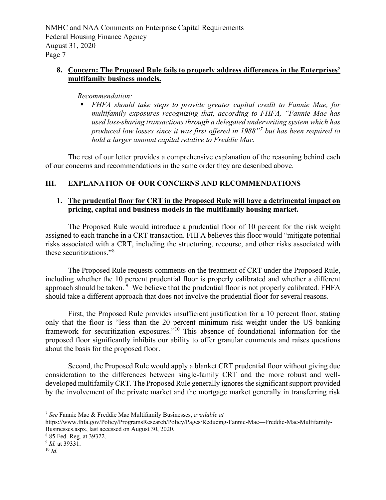### **8. Concern: The Proposed Rule fails to properly address differences in the Enterprises' multifamily business models.**

### *Recommendation:*

 *FHFA should take steps to provide greater capital credit to Fannie Mae, for multifamily exposures recognizing that, according to FHFA, "Fannie Mae has used loss-sharing transactions through a delegated underwriting system which has produced low losses since it was first offered in 1988"[7](#page-6-0) but has been required to hold a larger amount capital relative to Freddie Mac.* 

The rest of our letter provides a comprehensive explanation of the reasoning behind each of our concerns and recommendations in the same order they are described above.

# **III. EXPLANATION OF OUR CONCERNS AND RECOMMENDATIONS**

### **1. The prudential floor for CRT in the Proposed Rule will have a detrimental impact on pricing, capital and business models in the multifamily housing market.**

The Proposed Rule would introduce a prudential floor of 10 percent for the risk weight assigned to each tranche in a CRT transaction. FHFA believes this floor would "mitigate potential risks associated with a CRT, including the structuring, recourse, and other risks associated with these securitizations."[8](#page-6-1)

The Proposed Rule requests comments on the treatment of CRT under the Proposed Rule, including whether the 10 percent prudential floor is properly calibrated and whether a different approach should be taken.  $9\,$  $9\,$  We believe that the prudential floor is not properly calibrated. FHFA should take a different approach that does not involve the prudential floor for several reasons.

First, the Proposed Rule provides insufficient justification for a 10 percent floor, stating only that the floor is "less than the 20 percent minimum risk weight under the US banking framework for securitization exposures."[10](#page-6-3) This absence of foundational information for the proposed floor significantly inhibits our ability to offer granular comments and raises questions about the basis for the proposed floor.

Second, the Proposed Rule would apply a blanket CRT prudential floor without giving due consideration to the differences between single-family CRT and the more robust and welldeveloped multifamily CRT. The Proposed Rule generally ignores the significant support provided by the involvement of the private market and the mortgage market generally in transferring risk

<span id="page-6-0"></span> <sup>7</sup> *See* Fannie Mae & Freddie Mac Multifamily Businesses, *available at*

https://www.fhfa.gov/Policy/ProgramsResearch/Policy/Pages/Reducing-Fannie-Mae—Freddie-Mac-Multifamily-Businesses.aspx, last accessed on August 30, 2020.

<span id="page-6-1"></span><sup>8</sup> 85 Fed. Reg. at 39322.

<span id="page-6-2"></span><sup>9</sup> *Id.* at 39331.

<span id="page-6-3"></span><sup>10</sup> *Id.*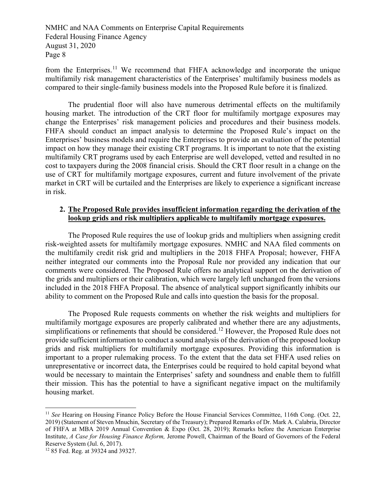from the Enterprises.<sup>[11](#page-7-0)</sup> We recommend that FHFA acknowledge and incorporate the unique multifamily risk management characteristics of the Enterprises' multifamily business models as compared to their single-family business models into the Proposed Rule before it is finalized.

The prudential floor will also have numerous detrimental effects on the multifamily housing market. The introduction of the CRT floor for multifamily mortgage exposures may change the Enterprises' risk management policies and procedures and their business models. FHFA should conduct an impact analysis to determine the Proposed Rule's impact on the Enterprises' business models and require the Enterprises to provide an evaluation of the potential impact on how they manage their existing CRT programs. It is important to note that the existing multifamily CRT programs used by each Enterprise are well developed, vetted and resulted in no cost to taxpayers during the 2008 financial crisis. Should the CRT floor result in a change on the use of CRT for multifamily mortgage exposures, current and future involvement of the private market in CRT will be curtailed and the Enterprises are likely to experience a significant increase in risk.

### **2. The Proposed Rule provides insufficient information regarding the derivation of the lookup grids and risk multipliers applicable to multifamily mortgage exposures.**

The Proposed Rule requires the use of lookup grids and multipliers when assigning credit risk-weighted assets for multifamily mortgage exposures. NMHC and NAA filed comments on the multifamily credit risk grid and multipliers in the 2018 FHFA Proposal; however, FHFA neither integrated our comments into the Proposal Rule nor provided any indication that our comments were considered. The Proposed Rule offers no analytical support on the derivation of the grids and multipliers or their calibration, which were largely left unchanged from the versions included in the 2018 FHFA Proposal. The absence of analytical support significantly inhibits our ability to comment on the Proposed Rule and calls into question the basis for the proposal.

The Proposed Rule requests comments on whether the risk weights and multipliers for multifamily mortgage exposures are properly calibrated and whether there are any adjustments, simplifications or refinements that should be considered.<sup>[12](#page-7-1)</sup> However, the Proposed Rule does not provide sufficient information to conduct a sound analysis of the derivation of the proposed lookup grids and risk multipliers for multifamily mortgage exposures. Providing this information is important to a proper rulemaking process. To the extent that the data set FHFA used relies on unrepresentative or incorrect data, the Enterprises could be required to hold capital beyond what would be necessary to maintain the Enterprises' safety and soundness and enable them to fulfill their mission. This has the potential to have a significant negative impact on the multifamily housing market.

<span id="page-7-0"></span><sup>&</sup>lt;sup>11</sup> *See* Hearing on Housing Finance Policy Before the House Financial Services Committee, 116th Cong. (Oct. 22, 2019) (Statement of Steven Mnuchin, Secretary of the Treasury); Prepared Remarks of Dr. Mark A. Calabria, Director of FHFA at MBA 2019 Annual Convention & Expo (Oct. 28, 2019); Remarks before the American Enterprise Institute, *A Case for Housing Finance Reform,* Jerome Powell, Chairman of the Board of Governors of the Federal Reserve System (Jul. 6, 2017).

<span id="page-7-1"></span><sup>12</sup> 85 Fed. Reg. at 39324 and 39327.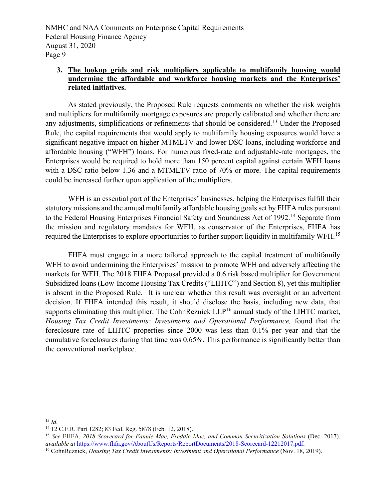# **3. The lookup grids and risk multipliers applicable to multifamily housing would undermine the affordable and workforce housing markets and the Enterprises' related initiatives.**

As stated previously, the Proposed Rule requests comments on whether the risk weights and multipliers for multifamily mortgage exposures are properly calibrated and whether there are any adjustments, simplifications or refinements that should be considered.<sup>[13](#page-8-0)</sup> Under the Proposed Rule, the capital requirements that would apply to multifamily housing exposures would have a significant negative impact on higher MTMLTV and lower DSC loans, including workforce and affordable housing ("WFH") loans. For numerous fixed-rate and adjustable-rate mortgages, the Enterprises would be required to hold more than 150 percent capital against certain WFH loans with a DSC ratio below 1.36 and a MTMLTV ratio of 70% or more. The capital requirements could be increased further upon application of the multipliers.

WFH is an essential part of the Enterprises' businesses, helping the Enterprises fulfill their statutory missions and the annual multifamily affordable housing goals set by FHFA rules pursuant to the Federal Housing Enterprises Financial Safety and Soundness Act of 1992.<sup>[14](#page-8-1)</sup> Separate from the mission and regulatory mandates for WFH, as conservator of the Enterprises, FHFA has required the Enterprises to explore opportunities to further support liquidity in multifamily WFH.[15](#page-8-2)

FHFA must engage in a more tailored approach to the capital treatment of multifamily WFH to avoid undermining the Enterprises' mission to promote WFH and adversely affecting the markets for WFH. The 2018 FHFA Proposal provided a 0.6 risk based multiplier for Government Subsidized loans (Low-Income Housing Tax Credits ("LIHTC") and Section 8), yet this multiplier is absent in the Proposed Rule. It is unclear whether this result was oversight or an advertent decision. If FHFA intended this result, it should disclose the basis, including new data, that supports eliminating this multiplier. The CohnReznick  $LLP^{16}$  $LLP^{16}$  $LLP^{16}$  annual study of the LIHTC market, *Housing Tax Credit Investments: Investments and Operational Performance,* found that the foreclosure rate of LIHTC properties since 2000 was less than 0.1% per year and that the cumulative foreclosures during that time was 0.65%. This performance is significantly better than the conventional marketplace.

<span id="page-8-0"></span> <sup>13</sup> *Id.*

<span id="page-8-1"></span><sup>14</sup> 12 C.F.R. Part 1282; 83 Fed. Reg. 5878 (Feb. 12, 2018).

<span id="page-8-2"></span><sup>15</sup> *See* FHFA, *2018 Scorecard for Fannie Mae, Freddie Mac, and Common Securitization Solutions* (Dec. 2017), *available at* [https://www.fhfa.gov/AboutUs/Reports/ReportDocuments/2018-Scorecard-12212017.pdf.](https://www.fhfa.gov/AboutUs/Reports/ReportDocuments/2018-Scorecard-12212017.pdf) 16 CohnReznick, *Housing Tax Credit Investments: Investment and Operational Performance* (Nov. 18, 2019).

<span id="page-8-3"></span>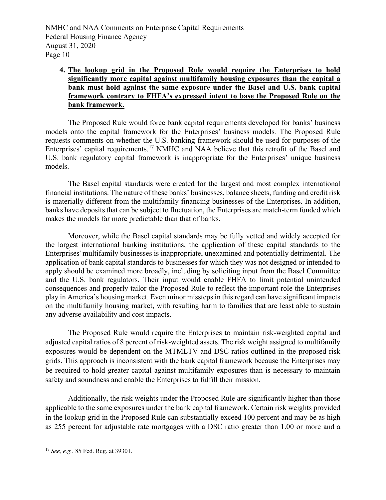# **4. The lookup grid in the Proposed Rule would require the Enterprises to hold significantly more capital against multifamily housing exposures than the capital a bank must hold against the same exposure under the Basel and U.S. bank capital framework contrary to FHFA's expressed intent to base the Proposed Rule on the bank framework.**

The Proposed Rule would force bank capital requirements developed for banks' business models onto the capital framework for the Enterprises' business models*.* The Proposed Rule requests comments on whether the U.S. banking framework should be used for purposes of the Enterprises' capital requirements.<sup>[17](#page-9-0)</sup> NMHC and NAA believe that this retrofit of the Basel and U.S. bank regulatory capital framework is inappropriate for the Enterprises' unique business models.

The Basel capital standards were created for the largest and most complex international financial institutions. The nature of these banks' businesses, balance sheets, funding and credit risk is materially different from the multifamily financing businesses of the Enterprises. In addition, banks have deposits that can be subject to fluctuation, the Enterprises are match-term funded which makes the models far more predictable than that of banks.

Moreover, while the Basel capital standards may be fully vetted and widely accepted for the largest international banking institutions, the application of these capital standards to the Enterprises' multifamily businesses is inappropriate, unexamined and potentially detrimental. The application of bank capital standards to businesses for which they was not designed or intended to apply should be examined more broadly, including by soliciting input from the Basel Committee and the U.S. bank regulators. Their input would enable FHFA to limit potential unintended consequences and properly tailor the Proposed Rule to reflect the important role the Enterprises play in America's housing market. Even minor missteps in this regard can have significant impacts on the multifamily housing market, with resulting harm to families that are least able to sustain any adverse availability and cost impacts.

The Proposed Rule would require the Enterprises to maintain risk-weighted capital and adjusted capital ratios of 8 percent of risk-weighted assets. The risk weight assigned to multifamily exposures would be dependent on the MTMLTV and DSC ratios outlined in the proposed risk grids. This approach is inconsistent with the bank capital framework because the Enterprises may be required to hold greater capital against multifamily exposures than is necessary to maintain safety and soundness and enable the Enterprises to fulfill their mission.

Additionally, the risk weights under the Proposed Rule are significantly higher than those applicable to the same exposures under the bank capital framework. Certain risk weights provided in the lookup grid in the Proposed Rule can substantially exceed 100 percent and may be as high as 255 percent for adjustable rate mortgages with a DSC ratio greater than 1.00 or more and a

<span id="page-9-0"></span> <sup>17</sup> *See, e.g.*, 85 Fed. Reg. at 39301.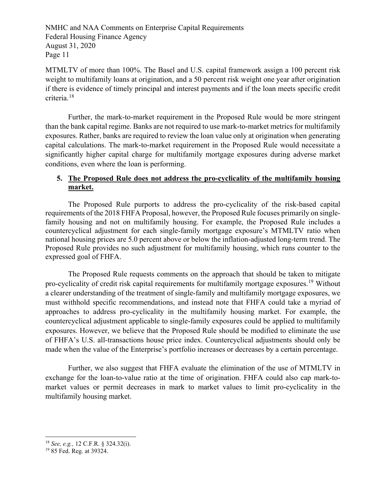MTMLTV of more than 100%. The Basel and U.S. capital framework assign a 100 percent risk weight to multifamily loans at origination, and a 50 percent risk weight one year after origination if there is evidence of timely principal and interest payments and if the loan meets specific credit criteria.[18](#page-10-0)

Further, the mark-to-market requirement in the Proposed Rule would be more stringent than the bank capital regime. Banks are not required to use mark-to-market metrics for multifamily exposures. Rather, banks are required to review the loan value only at origination when generating capital calculations. The mark-to-market requirement in the Proposed Rule would necessitate a significantly higher capital charge for multifamily mortgage exposures during adverse market conditions, even where the loan is performing.

# **5. The Proposed Rule does not address the pro-cyclicality of the multifamily housing market.**

The Proposed Rule purports to address the pro-cyclicality of the risk-based capital requirements of the 2018 FHFA Proposal, however, the Proposed Rule focuses primarily on singlefamily housing and not on multifamily housing. For example, the Proposed Rule includes a countercyclical adjustment for each single-family mortgage exposure's MTMLTV ratio when national housing prices are 5.0 percent above or below the inflation-adjusted long-term trend. The Proposed Rule provides no such adjustment for multifamily housing, which runs counter to the expressed goal of FHFA.

The Proposed Rule requests comments on the approach that should be taken to mitigate pro-cyclicality of credit risk capital requirements for multifamily mortgage exposures.[19](#page-10-1) Without a clearer understanding of the treatment of single-family and multifamily mortgage exposures, we must withhold specific recommendations, and instead note that FHFA could take a myriad of approaches to address pro-cyclicality in the multifamily housing market. For example, the countercyclical adjustment applicable to single-family exposures could be applied to multifamily exposures. However, we believe that the Proposed Rule should be modified to eliminate the use of FHFA's U.S. all-transactions house price index. Countercyclical adjustments should only be made when the value of the Enterprise's portfolio increases or decreases by a certain percentage.

Further, we also suggest that FHFA evaluate the elimination of the use of MTMLTV in exchange for the loan-to-value ratio at the time of origination. FHFA could also cap mark-tomarket values or permit decreases in mark to market values to limit pro-cyclicality in the multifamily housing market.

<span id="page-10-0"></span> <sup>18</sup> *See, e.g.,* 12 C.F.R. § 324.32(i).

<span id="page-10-1"></span><sup>19</sup> 85 Fed. Reg. at 39324.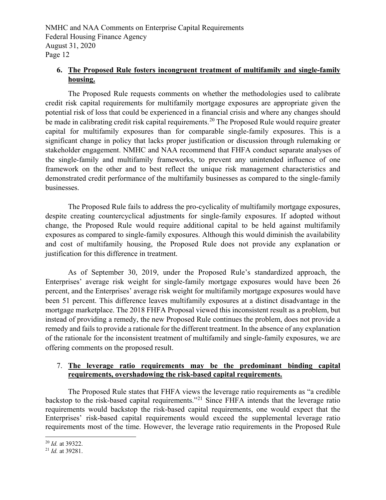# **6. The Proposed Rule fosters incongruent treatment of multifamily and single-family housing.**

The Proposed Rule requests comments on whether the methodologies used to calibrate credit risk capital requirements for multifamily mortgage exposures are appropriate given the potential risk of loss that could be experienced in a financial crisis and where any changes should be made in calibrating credit risk capital requirements.<sup>[20](#page-11-0)</sup> The Proposed Rule would require greater capital for multifamily exposures than for comparable single-family exposures. This is a significant change in policy that lacks proper justification or discussion through rulemaking or stakeholder engagement. NMHC and NAA recommend that FHFA conduct separate analyses of the single-family and multifamily frameworks, to prevent any unintended influence of one framework on the other and to best reflect the unique risk management characteristics and demonstrated credit performance of the multifamily businesses as compared to the single-family businesses.

The Proposed Rule fails to address the pro-cyclicality of multifamily mortgage exposures, despite creating countercyclical adjustments for single-family exposures. If adopted without change, the Proposed Rule would require additional capital to be held against multifamily exposures as compared to single-family exposures. Although this would diminish the availability and cost of multifamily housing, the Proposed Rule does not provide any explanation or justification for this difference in treatment.

As of September 30, 2019, under the Proposed Rule's standardized approach, the Enterprises' average risk weight for single-family mortgage exposures would have been 26 percent, and the Enterprises' average risk weight for multifamily mortgage exposures would have been 51 percent. This difference leaves multifamily exposures at a distinct disadvantage in the mortgage marketplace. The 2018 FHFA Proposal viewed this inconsistent result as a problem, but instead of providing a remedy, the new Proposed Rule continues the problem, does not provide a remedy and fails to provide a rationale for the different treatment. In the absence of any explanation of the rationale for the inconsistent treatment of multifamily and single-family exposures, we are offering comments on the proposed result.

### 7. **The leverage ratio requirements may be the predominant binding capital requirements, overshadowing the risk-based capital requirements.**

The Proposed Rule states that FHFA views the leverage ratio requirements as "a credible backstop to the risk-based capital requirements."<sup>[21](#page-11-1)</sup> Since FHFA intends that the leverage ratio requirements would backstop the risk-based capital requirements, one would expect that the Enterprises' risk-based capital requirements would exceed the supplemental leverage ratio requirements most of the time. However, the leverage ratio requirements in the Proposed Rule

<span id="page-11-0"></span><sup>20</sup> *Id.* at 39322. 21 *Id.* at 39281.

<span id="page-11-1"></span>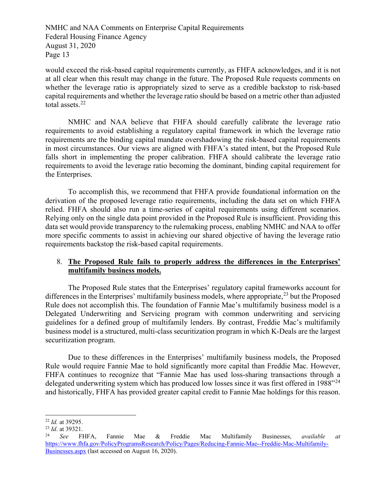would exceed the risk-based capital requirements currently, as FHFA acknowledges, and it is not at all clear when this result may change in the future. The Proposed Rule requests comments on whether the leverage ratio is appropriately sized to serve as a credible backstop to risk-based capital requirements and whether the leverage ratio should be based on a metric other than adjusted total assets.<sup>22</sup>

NMHC and NAA believe that FHFA should carefully calibrate the leverage ratio requirements to avoid establishing a regulatory capital framework in which the leverage ratio requirements are the binding capital mandate overshadowing the risk-based capital requirements in most circumstances. Our views are aligned with FHFA's stated intent, but the Proposed Rule falls short in implementing the proper calibration. FHFA should calibrate the leverage ratio requirements to avoid the leverage ratio becoming the dominant, binding capital requirement for the Enterprises.

To accomplish this, we recommend that FHFA provide foundational information on the derivation of the proposed leverage ratio requirements, including the data set on which FHFA relied. FHFA should also run a time-series of capital requirements using different scenarios. Relying only on the single data point provided in the Proposed Rule is insufficient. Providing this data set would provide transparency to the rulemaking process, enabling NMHC and NAA to offer more specific comments to assist in achieving our shared objective of having the leverage ratio requirements backstop the risk-based capital requirements.

### 8. **The Proposed Rule fails to properly address the differences in the Enterprises' multifamily business models.**

The Proposed Rule states that the Enterprises' regulatory capital frameworks account for differences in the Enterprises' multifamily business models, where appropriate,  $2<sup>3</sup>$  but the Proposed Rule does not accomplish this. The foundation of Fannie Mae's multifamily business model is a Delegated Underwriting and Servicing program with common underwriting and servicing guidelines for a defined group of multifamily lenders. By contrast, Freddie Mac's multifamily business model is a structured, multi-class securitization program in which K-Deals are the largest securitization program.

Due to these differences in the Enterprises' multifamily business models, the Proposed Rule would require Fannie Mae to hold significantly more capital than Freddie Mac. However, FHFA continues to recognize that "Fannie Mae has used loss-sharing transactions through a delegated underwriting system which has produced low losses since it was first offered in 1988<sup>"[24](#page-12-2)</sup> and historically, FHFA has provided greater capital credit to Fannie Mae holdings for this reason.

<span id="page-12-0"></span> <sup>22</sup> *Id.* at 39295.

<span id="page-12-1"></span> $^{23}$  *Id.* at 39321.

<span id="page-12-2"></span><sup>24</sup> *See* FHFA, Fannie Mae & Freddie Mac Multifamily Businesses, *available at* [https://www.fhfa.gov/PolicyProgramsResearch/Policy/Pages/Reducing-Fannie-Mae--Freddie-Mac-Multifamily-](https://www.fhfa.gov/PolicyProgramsResearch/Policy/Pages/Reducing-Fannie-Mae--Freddie-Mac-Multifamily-Businesses.aspx)[Businesses.aspx](https://www.fhfa.gov/PolicyProgramsResearch/Policy/Pages/Reducing-Fannie-Mae--Freddie-Mac-Multifamily-Businesses.aspx) (last accessed on August 16, 2020).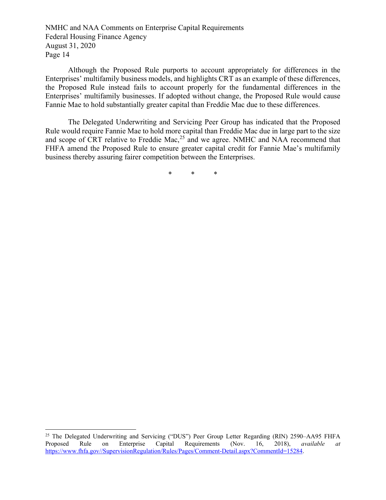Although the Proposed Rule purports to account appropriately for differences in the Enterprises' multifamily business models, and highlights CRT as an example of these differences, the Proposed Rule instead fails to account properly for the fundamental differences in the Enterprises' multifamily businesses. If adopted without change, the Proposed Rule would cause Fannie Mae to hold substantially greater capital than Freddie Mac due to these differences.

The Delegated Underwriting and Servicing Peer Group has indicated that the Proposed Rule would require Fannie Mae to hold more capital than Freddie Mac due in large part to the size and scope of CRT relative to Freddie Mac,<sup>[25](#page-13-0)</sup> and we agree. NMHC and NAA recommend that FHFA amend the Proposed Rule to ensure greater capital credit for Fannie Mae's multifamily business thereby assuring fairer competition between the Enterprises.

\* \* \*

<span id="page-13-0"></span><sup>&</sup>lt;sup>25</sup> The Delegated Underwriting and Servicing ("DUS") Peer Group Letter Regarding (RIN) 2590–AA95 FHFA Proposed Rule on Enterprise Capital Requirements (Nov. 16, 2018), *available at* [https://www.fhfa.gov//SupervisionRegulation/Rules/Pages/Comment-Detail.aspx?CommentId=15284.](https://www.fhfa.gov/SupervisionRegulation/Rules/Pages/Comment-Detail.aspx?CommentId=15284)